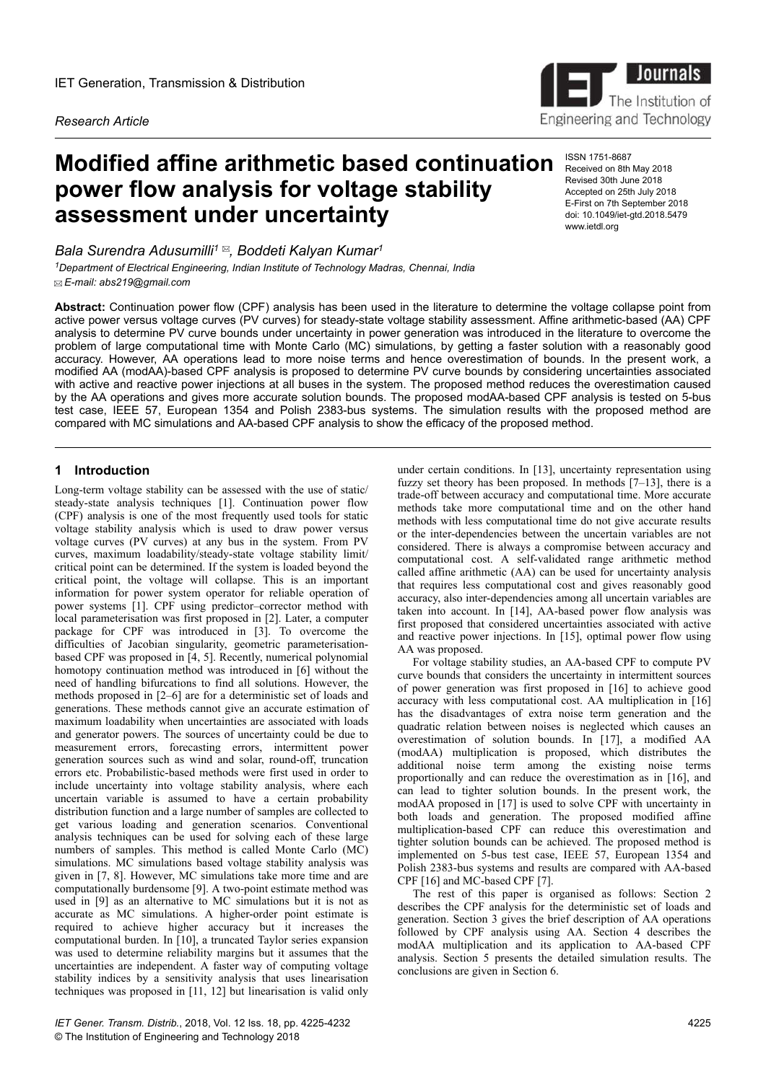*Research Article*

# **Modified affine arithmetic based continuation ISSN 1751-8687 power flow analysis for voltage stability assessment under uncertainty**

*Bala Surendra Adusumilli<sup>1</sup> , Boddeti Kalyan Kumar<sup>1</sup>*

*<sup>1</sup>Department of Electrical Engineering, Indian Institute of Technology Madras, Chennai, India E-mail: abs219@gmail.com*

**Abstract:** Continuation power flow (CPF) analysis has been used in the literature to determine the voltage collapse point from active power versus voltage curves (PV curves) for steady-state voltage stability assessment. Affine arithmetic-based (AA) CPF analysis to determine PV curve bounds under uncertainty in power generation was introduced in the literature to overcome the problem of large computational time with Monte Carlo (MC) simulations, by getting a faster solution with a reasonably good accuracy. However, AA operations lead to more noise terms and hence overestimation of bounds. In the present work, a modified AA (modAA)-based CPF analysis is proposed to determine PV curve bounds by considering uncertainties associated with active and reactive power injections at all buses in the system. The proposed method reduces the overestimation caused by the AA operations and gives more accurate solution bounds. The proposed modAA-based CPF analysis is tested on 5-bus test case, IEEE 57, European 1354 and Polish 2383-bus systems. The simulation results with the proposed method are compared with MC simulations and AA-based CPF analysis to show the efficacy of the proposed method.

# **1** Introduction

Long-term voltage stability can be assessed with the use of static/ steady-state analysis techniques [1]. Continuation power flow (CPF) analysis is one of the most frequently used tools for static voltage stability analysis which is used to draw power versus voltage curves (PV curves) at any bus in the system. From PV curves, maximum loadability/steady-state voltage stability limit/ critical point can be determined. If the system is loaded beyond the critical point, the voltage will collapse. This is an important information for power system operator for reliable operation of power systems [1]. CPF using predictor–corrector method with local parameterisation was first proposed in [2]. Later, a computer package for CPF was introduced in [3]. To overcome the difficulties of Jacobian singularity, geometric parameterisationbased CPF was proposed in [4, 5]. Recently, numerical polynomial homotopy continuation method was introduced in [6] without the need of handling bifurcations to find all solutions. However, the methods proposed in [2–6] are for a deterministic set of loads and generations. These methods cannot give an accurate estimation of maximum loadability when uncertainties are associated with loads and generator powers. The sources of uncertainty could be due to measurement errors, forecasting errors, intermittent power generation sources such as wind and solar, round-off, truncation errors etc. Probabilistic-based methods were first used in order to include uncertainty into voltage stability analysis, where each uncertain variable is assumed to have a certain probability distribution function and a large number of samples are collected to get various loading and generation scenarios. Conventional analysis techniques can be used for solving each of these large numbers of samples. This method is called Monte Carlo (MC) simulations. MC simulations based voltage stability analysis was given in [7, 8]. However, MC simulations take more time and are computationally burdensome [9]. A two-point estimate method was used in [9] as an alternative to MC simulations but it is not as accurate as MC simulations. A higher-order point estimate is required to achieve higher accuracy but it increases the computational burden. In [10], a truncated Taylor series expansion was used to determine reliability margins but it assumes that the uncertainties are independent. A faster way of computing voltage stability indices by a sensitivity analysis that uses linearisation techniques was proposed in [11, 12] but linearisation is valid only

under certain conditions. In [13], uncertainty representation using fuzzy set theory has been proposed. In methods  $[7-13]$ , there is a trade-off between accuracy and computational time. More accurate methods take more computational time and on the other hand methods with less computational time do not give accurate results or the inter-dependencies between the uncertain variables are not considered. There is always a compromise between accuracy and computational cost. A self-validated range arithmetic method called affine arithmetic (AA) can be used for uncertainty analysis that requires less computational cost and gives reasonably good accuracy, also inter-dependencies among all uncertain variables are taken into account. In [14], AA-based power flow analysis was first proposed that considered uncertainties associated with active and reactive power injections. In [15], optimal power flow using AA was proposed.

For voltage stability studies, an AA-based CPF to compute PV curve bounds that considers the uncertainty in intermittent sources of power generation was first proposed in [16] to achieve good accuracy with less computational cost. AA multiplication in [16] has the disadvantages of extra noise term generation and the quadratic relation between noises is neglected which causes an overestimation of solution bounds. In [17], a modified AA (modAA) multiplication is proposed, which distributes the additional noise term among the existing noise terms proportionally and can reduce the overestimation as in [16], and can lead to tighter solution bounds. In the present work, the modAA proposed in [17] is used to solve CPF with uncertainty in both loads and generation. The proposed modified affine multiplication-based CPF can reduce this overestimation and tighter solution bounds can be achieved. The proposed method is implemented on 5-bus test case, IEEE 57, European 1354 and Polish 2383-bus systems and results are compared with AA-based CPF [16] and MC-based CPF [7].

The rest of this paper is organised as follows: Section 2 describes the CPF analysis for the deterministic set of loads and generation. Section 3 gives the brief description of AA operations followed by CPF analysis using AA. Section 4 describes the modAA multiplication and its application to AA-based CPF analysis. Section 5 presents the detailed simulation results. The conclusions are given in Section 6.



Received on 8th May 2018 Revised 30th June 2018 Accepted on 25th July 2018 E-First on 7th September 2018 doi: 10.1049/iet-gtd.2018.5479 www.ietdl.org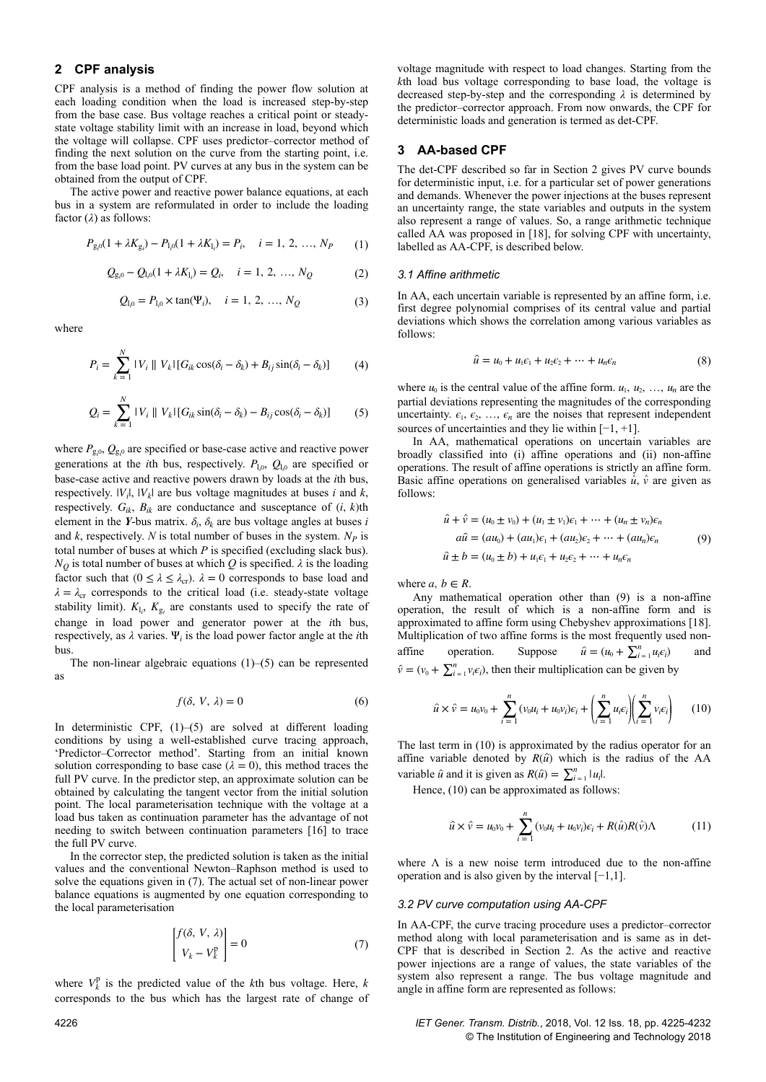# **2CPF analysis**

CPF analysis is a method of finding the power flow solution at each loading condition when the load is increased step-by-step from the base case. Bus voltage reaches a critical point or steadystate voltage stability limit with an increase in load, beyond which the voltage will collapse. CPF uses predictor–corrector method of finding the next solution on the curve from the starting point, i.e. from the base load point. PV curves at any bus in the system can be obtained from the output of CPF.

The active power and reactive power balance equations, at each bus in a system are reformulated in order to include the loading factor (*λ*) as follows:

$$
P_{g_i 0}(1 + \lambda K_{g_i}) - P_{1,0}(1 + \lambda K_{1_i}) = P_i, \quad i = 1, 2, ..., N_P \tag{1}
$$

$$
Q_{g_i 0} - Q_{l_i 0} (1 + \lambda K_{l_i}) = Q_i, \quad i = 1, 2, ..., N_Q
$$
 (2)

$$
Q_{l_10} = P_{l_10} \times \tan(\Psi_i), \quad i = 1, 2, ..., N_Q
$$
 (3)

where

$$
P_i = \sum_{k=1}^{N} |V_i| |V_k| [G_{ik} \cos(\delta_i - \delta_k) + B_{ij} \sin(\delta_i - \delta_k)] \tag{4}
$$

$$
Q_i = \sum_{k=1}^{N} |V_i| |V_k| [G_{ik} \sin(\delta_i - \delta_k) - B_{ij} \cos(\delta_i - \delta_k)] \tag{5}
$$

where  $P_{\text{g},0}$ ,  $Q_{\text{g},0}$  are specified or base-case active and reactive power generations at the *i*th bus, respectively.  $P_{1,0}$ ,  $Q_{1,0}$  are specified or base-case active and reactive powers drawn by loads at the *i*th bus, respectively.  $|V_i|$ ,  $|V_k|$  are bus voltage magnitudes at buses *i* and *k*, respectively.  $G_{ik}$ ,  $B_{ik}$  are conductance and susceptance of  $(i, k)$ th element in the *Y*-bus matrix.  $\delta_i$ ,  $\delta_k$  are bus voltage angles at buses *i* and *k*, respectively. *N* is total number of buses in the system. *NP* is total number of buses at which *P* is specified (excluding slack bus).  $N_Q$  is total number of buses at which *Q* is specified.  $\lambda$  is the loading factor such that  $(0 \le \lambda \le \lambda_{cr})$ .  $\lambda = 0$  corresponds to base load and  $\lambda = \lambda_{\rm cr}$  corresponds to the critical load (i.e. steady-state voltage stability limit).  $K_{1i}$ ,  $K_{g_i}$  are constants used to specify the rate of change in load power and generator power at the *i*th bus, respectively, as  $\lambda$  varies.  $\Psi_i$  is the load power factor angle at the *i*th bus.

The non-linear algebraic equations  $(1)$ – $(5)$  can be represented as

$$
f(\delta, V, \lambda) = 0 \tag{6}
$$

In deterministic CPF, (1)–(5) are solved at different loading conditions by using a well-established curve tracing approach, 'Predictor–Corrector method'. Starting from an initial known solution corresponding to base case  $(\lambda = 0)$ , this method traces the full PV curve. In the predictor step, an approximate solution can be obtained by calculating the tangent vector from the initial solution point. The local parameterisation technique with the voltage at a load bus taken as continuation parameter has the advantage of not needing to switch between continuation parameters [16] to trace the full PV curve.

In the corrector step, the predicted solution is taken as the initial values and the conventional Newton–Raphson method is used to solve the equations given in (7). The actual set of non-linear power balance equations is augmented by one equation corresponding to the local parameterisation

$$
\begin{bmatrix} f(\delta, V, \lambda) \\ V_k - V_k^p \end{bmatrix} = 0 \tag{7}
$$

where  $V_k^p$  is the predicted value of the *k*th bus voltage. Here, *k* corresponds to the bus which has the largest rate of change of

voltage magnitude with respect to load changes. Starting from the *k*th load bus voltage corresponding to base load, the voltage is decreased step-by-step and the corresponding *λ* is determined by the predictor–corrector approach. From now onwards, the CPF for deterministic loads and generation is termed as det-CPF.

## **3AA-based CPF**

The det-CPF described so far in Section 2 gives PV curve bounds for deterministic input, i.e. for a particular set of power generations and demands. Whenever the power injections at the buses represent an uncertainty range, the state variables and outputs in the system also represent a range of values. So, a range arithmetic technique called AA was proposed in [18], for solving CPF with uncertainty, labelled as AA-CPF, is described below.

#### *3.1 Affine arithmetic*

In AA, each uncertain variable is represented by an affine form, i.e. first degree polynomial comprises of its central value and partial deviations which shows the correlation among various variables as follows:

$$
\hat{u} = u_0 + u_1 \epsilon_1 + u_2 \epsilon_2 + \dots + u_n \epsilon_n \tag{8}
$$

where  $u_0$  is the central value of the affine form.  $u_1, u_2, \ldots, u_n$  are the partial deviations representing the magnitudes of the corresponding uncertainty.  $\epsilon_1$ ,  $\epsilon_2$ , ...,  $\epsilon_n$  are the noises that represent independent sources of uncertainties and they lie within  $[-1, +1]$ .

In AA, mathematical operations on uncertain variables are broadly classified into (i) affine operations and (ii) non-affine operations. The result of affine operations is strictly an affine form. Basic affine operations on generalised variables  $\hat{u}$ ,  $\hat{v}$  are given as follows:

$$
\hat{u} + \hat{v} = (u_0 \pm v_0) + (u_1 \pm v_1)\epsilon_1 + \dots + (u_n \pm v_n)\epsilon_n
$$
  
\n
$$
a\hat{u} = (au_0) + (au_1)\epsilon_1 + (au_2)\epsilon_2 + \dots + (au_n)\epsilon_n
$$
  
\n
$$
\hat{u} \pm b = (u_0 \pm b) + u_1\epsilon_1 + u_2\epsilon_2 + \dots + u_n\epsilon_n
$$
\n(9)

where  $a, b \in R$ .

Any mathematical operation other than (9) is a non-affine operation, the result of which is a non-affine form and is approximated to affine form using Chebyshev approximations [18]. Multiplication of two affine forms is the most frequently used nonaffine operation. Suppose  $\hat{u} = (u_0 + \sum_{i=1}^n u_i \epsilon_i)$ ) and  $\hat{v} = (v_0 + \sum_{i=1}^n v_i \epsilon_i)$ , then their multiplication can be given by

$$
\hat{u} \times \hat{v} = u_0 v_0 + \sum_{i=1}^n (v_0 u_i + u_0 v_i) \epsilon_i + \left( \sum_{i=1}^n u_i \epsilon_i \right) \left( \sum_{i=1}^n v_i \epsilon_i \right) \tag{10}
$$

The last term in (10) is approximated by the radius operator for an affine variable denoted by  $R(\hat{u})$  which is the radius of the AA variable  $\hat{u}$  and it is given as  $R(\hat{u}) = \sum_{i=1}^{n} |u_i|$ .

Hence,  $(10)$  can be approximated as follows:

$$
\hat{u} \times \hat{v} = u_0 v_0 + \sum_{i=1}^n (v_0 u_i + u_0 v_i) \epsilon_i + R(\hat{u}) R(\hat{v}) \Lambda \tag{11}
$$

where  $\Lambda$  is a new noise term introduced due to the non-affine operation and is also given by the interval [−1,1].

### *3.2 PV curve computation using AA-CPF*

In AA-CPF, the curve tracing procedure uses a predictor–corrector method along with local parameterisation and is same as in det-CPF that is described in Section 2. As the active and reactive power injections are a range of values, the state variables of the system also represent a range. The bus voltage magnitude and angle in affine form are represented as follows:

4226 *IET Gener. Transm. Distrib.*, 2018, Vol. 12 Iss. 18, pp. 4225-4232 © The Institution of Engineering and Technology 2018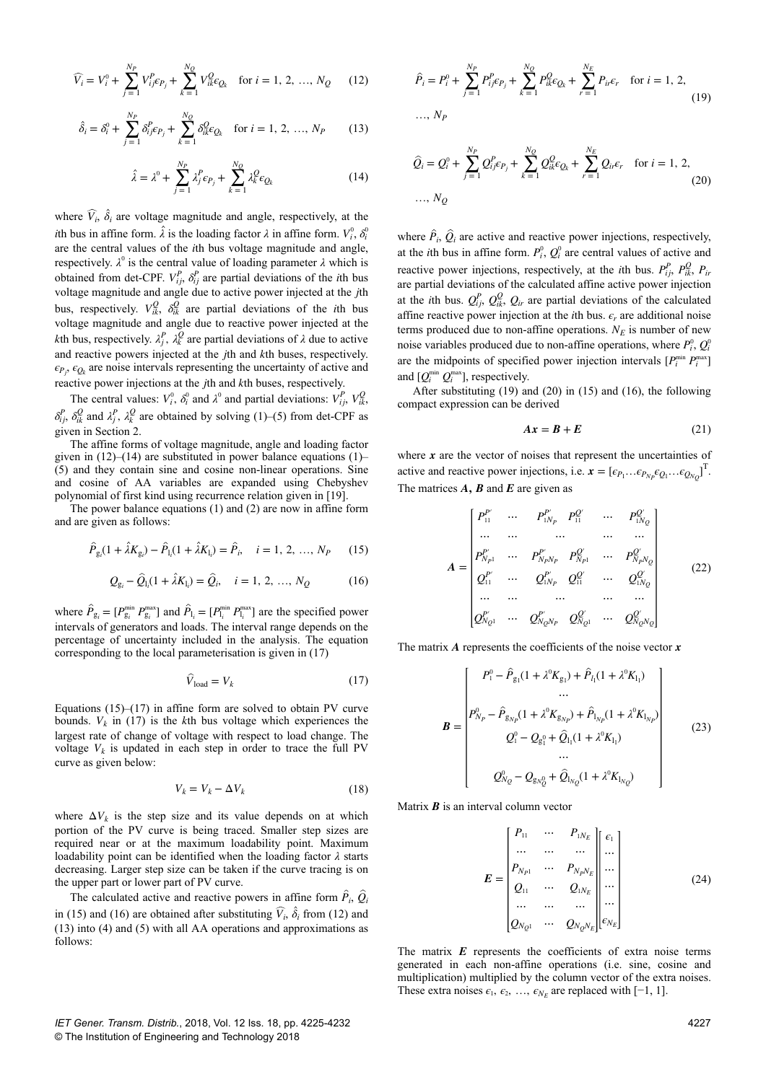$$
\widehat{V}_i = V_i^0 + \sum_{j=1}^{N_P} V_{ij}^P \epsilon_{P_j} + \sum_{k=1}^{N_Q} V_{ik}^Q \epsilon_{Q_k} \quad \text{for } i = 1, 2, ..., N_Q \quad (12)
$$

$$
\hat{\delta}_i = \delta_i^0 + \sum_{j=1}^{N_P} \delta_{ij}^P \epsilon_{P_j} + \sum_{k=1}^{N_Q} \delta_{ik}^Q \epsilon_{Q_k} \quad \text{for } i = 1, 2, ..., N_P \tag{13}
$$

$$
\hat{\lambda} = \lambda^0 + \sum_{j=1}^{N_P} \lambda_j^P \epsilon_{P_j} + \sum_{k=1}^{N_Q} \lambda_k^Q \epsilon_{Q_k}
$$
 (14)

where  $V_i$ ,  $\delta_i$  are voltage magnitude and angle, respectively, at the *i*th bus in affine form.  $\lambda$  is the loading factor  $\lambda$  in affine form.  $V_i^0$ ,  $\delta_i^0$ are the central values of the *i*th bus voltage magnitude and angle, respectively.  $\lambda^0$  is the central value of loading parameter  $\lambda$  which is obtained from det-CPF.  $V_{ij}^P$ ,  $\delta_{ij}^P$  are partial deviations of the *i*th bus voltage magnitude and angle due to active power injected at the *j*th bus, respectively.  $V_{ik}^Q$ ,  $\delta_{ik}^Q$  are partial deviations of the *i*th bus voltage magnitude and angle due to reactive power injected at the *k*th bus, respectively.  $\lambda_j^P$ ,  $\lambda_k^Q$  are partial deviations of  $\lambda$  due to active and reactive powers injected at the *j*th and *k*th buses, respectively.  $\epsilon_{P_j}, \epsilon_{Q_k}$  are noise intervals representing the uncertainty of active and reactive power injections at the *j*th and *k*th buses, respectively.

The central values:  $V_i^0$ ,  $\delta_i^0$  and  $\lambda^0$  and partial deviations:  $V_{ij}^P$ ,  $V_{ik}^Q$ ,  $\delta$ <sup>*p*</sup><sub>*i*</sub>,  $\delta$ <sup>*Q*</sup><sub>*k*</sub><sup>*Q*</sup> and *λ*<sup>*p*</sup><sub>*f*</sub>, *λ*<sup>*Q*</sup> are obtained by solving (1)–(5) from det-CPF as given in Section 2.

The affine forms of voltage magnitude, angle and loading factor given in  $(12)$ – $(14)$  are substituted in power balance equations  $(1)$ – (5) and they contain sine and cosine non-linear operations. Sine and cosine of AA variables are expanded using Chebyshev polynomial of first kind using recurrence relation given in [19].

The power balance equations (1) and (2) are now in affine form and are given as follows:

$$
\hat{P}_{g_i}(1 + \hat{\lambda}K_{g_i}) - \hat{P}_{l_i}(1 + \hat{\lambda}K_{l_i}) = \hat{P}_i, \quad i = 1, 2, ..., N_P \qquad (15)
$$

$$
Q_{g_i} - \hat{Q}_{l_i}(1 + \lambda K_{l_i}) = \hat{Q}_i, \quad i = 1, 2, ..., N_Q \tag{16}
$$

where  $\hat{P}_{g_i} = [P_{g_i}^{min} P_{g_i}^{max}]$  and  $\hat{P}_{l_i} = [P_{l_i}^{min} P_{l_i}^{max}]$  are the specified power intervals of generators and loads. The interval range depends on the percentage of uncertainty included in the analysis. The equation corresponding to the local parameterisation is given in (17)

$$
\hat{V}_{\text{load}} = V_k \tag{17}
$$

Equations  $(15)$ – $(17)$  in affine form are solved to obtain PV curve bounds.  $V_k$  in (17) is the *k*th bus voltage which experiences the largest rate of change of voltage with respect to load change. The voltage  $V_k$  is updated in each step in order to trace the full PV curve as given below:

$$
V_k = V_k - \Delta V_k \tag{18}
$$

where  $\Delta V_k$  is the step size and its value depends on at which portion of the PV curve is being traced. Smaller step sizes are required near or at the maximum loadability point. Maximum loadability point can be identified when the loading factor  $\lambda$  starts decreasing. Larger step size can be taken if the curve tracing is on the upper part or lower part of PV curve.

The calculated active and reactive powers in affine form  $P_i$ ,  $Q_i$ in (15) and (16) are obtained after substituting  $V_i$ ,  $\delta_i$  from (12) and (13) into (4) and (5) with all AA operations and approximations as follows:

$$
\hat{P}_i = P_i^0 + \sum_{j=1}^{N_P} P_{ij}^P \epsilon_{P_j} + \sum_{k=1}^{N_Q} P_{ik}^Q \epsilon_{Q_k} + \sum_{r=1}^{N_E} P_{ir} \epsilon_r \quad \text{for } i = 1, 2,
$$
\n
$$
\dots, N_P
$$
\n(19)

$$
\hat{Q}_i = Q_i^0 + \sum_{j=1}^{N_P} Q_{ij}^P \epsilon_{P_j} + \sum_{k=1}^{N_Q} Q_{ik}^Q \epsilon_{Q_k} + \sum_{r=1}^{N_E} Q_{ir} \epsilon_r \quad \text{for } i = 1, 2,
$$
\n
$$
\dots, N_Q \tag{20}
$$

where  $P_i$ ,  $Q_i$  are active and reactive power injections, respectively, at the *i*th bus in affine form.  $P_i^0$ ,  $Q_i^0$  are central values of active and reactive power injections, respectively, at the *i*th bus.  $P_{ij}^P$ ,  $P_{ik}^Q$ ,  $P_{ij}$ are partial deviations of the calculated affine active power injection at the *i*th bus.  $Q_{ij}^P$ ,  $Q_{ik}^Q$ ,  $Q_{ir}$  are partial deviations of the calculated affine reactive power injection at the *i*th bus.  $\epsilon_r$  are additional noise terms produced due to non-affine operations.  $N_E$  is number of new noise variables produced due to non-affine operations, where  $P_i^0$ ,  $Q_i^0$ are the midpoints of specified power injection intervals  $[P_i^{\min} P_i^{\max}]$ and  $[Q_i^{\min} Q_i^{\max}]$ , respectively.

After substituting (19) and (20) in (15) and (16), the following compact expression can be derived

$$
Ax = B + E \tag{21}
$$

where  $x$  are the vector of noises that represent the uncertainties of active and reactive power injections, i.e.  $\mathbf{x} = [\epsilon_{P_1} \dots \epsilon_{P_{N_P}} \epsilon_{Q_1} \dots \epsilon_{Q_{N_Q}}]^{\mathrm{T}}$ . The matrices *A***,** *<sup>B</sup>* and *E* are given as

$$
A = \begin{bmatrix} P_{11}^{P'} & \cdots & P_{1N_P}^{P'} & P_{11}^{Q'} & \cdots & P_{1N_Q}^{Q'} \\ \cdots & \cdots & \cdots & \cdots & \cdots \\ P_{N_{P1}}^{P'} & \cdots & P_{N_{P}N_P}^{P'} & P_{N_{P1}}^{Q'} & \cdots & P_{N_{P}N_Q}^{Q'} \\ Q_{11}^{P'} & \cdots & Q_{1N_P}^{P'} & Q_{11}^{Q'} & \cdots & Q_{1N_Q}^{Q'} \\ \cdots & \cdots & \cdots & \cdots & \cdots \\ Q_{N_Q 1}^{P'} & \cdots & Q_{N_Q N_P}^{P'} & Q_{N_Q 1}^{Q'} & \cdots & Q_{N_Q N_Q}^{Q'} \end{bmatrix}
$$
(22)

The matrix *A* represents the coefficients of the noise vector *x*

$$
\boldsymbol{B} = \begin{bmatrix} P_1^0 - \hat{P}_{g_1}(1 + \lambda^0 K_{g_1}) + \hat{P}_{l_1}(1 + \lambda^0 K_{l_1}) \\ \cdots \\ P_{N_P}^0 - \hat{P}_{g_{N_P}}(1 + \lambda^0 K_{g_{N_P}}) + \hat{P}_{l_{N_P}}(1 + \lambda^0 K_{l_{N_P}}) \\ Q_1^0 - Q_{g_1^0} + \hat{Q}_{l_1}(1 + \lambda^0 K_{l_1}) \\ \cdots \\ Q_{N_Q}^0 - Q_{g_{N_Q^0}} + \hat{Q}_{l_{N_Q}}(1 + \lambda^0 K_{l_{N_Q}}) \end{bmatrix}
$$
(23)

Matrix **B** is an interval column vector

$$
E = \begin{bmatrix} P_{11} & \cdots & P_{1N_E} \\ \cdots & \cdots & \cdots \\ P_{N_{P1}} & \cdots & P_{N_P N_E} \\ Q_{11} & \cdots & Q_{1N_E} \\ \cdots & \cdots & \cdots \\ Q_{N_Q 1} & \cdots & Q_{N_Q N_E} \end{bmatrix} \begin{bmatrix} \epsilon_1 \\ \cdots \\ \cdots \\ \cdots \\ \cdots \\ \cdots \\ \epsilon_{N_E} \end{bmatrix}
$$
 (24)

The matrix *E* represents the coefficients of extra noise terms generated in each non-affine operations (i.e. sine, cosine and multiplication) multiplied by the column vector of the extra noises. These extra noises  $\epsilon_1$ ,  $\epsilon_2$ , ...,  $\epsilon_{N_E}$  are replaced with [-1, 1].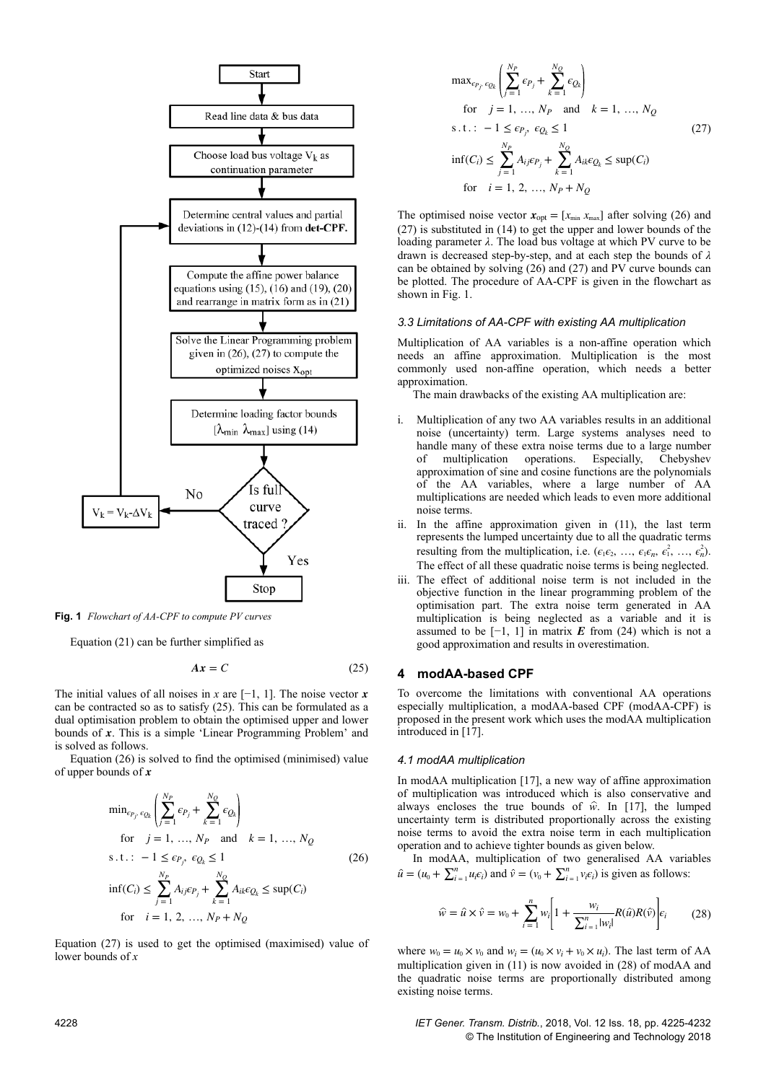

**Fig. 1** *Flowchart of AA-CPF to compute PV curves*

Equation (21) can be further simplified as

$$
Ax = C \tag{25}
$$

The initial values of all noises in *x* are [−1, 1]. The noise vector *x* can be contracted so as to satisfy (25). This can be formulated as a dual optimisation problem to obtain the optimised upper and lower bounds of *x*. This is a simple 'Linear Programming Problem' and is solved as follows.

Equation (26) is solved to find the optimised (minimised) value of upper bounds of *x*

$$
\min_{\epsilon_{P_j}, \epsilon_{Q_k}} \left( \sum_{j=1}^{N_P} \epsilon_{P_j} + \sum_{k=1}^{N_Q} \epsilon_{Q_k} \right)
$$
\n
$$
\text{for} \quad j = 1, ..., N_P \quad \text{and} \quad k = 1, ..., N_Q
$$
\n
$$
\text{s.t.:} \quad -1 \le \epsilon_{P_j}, \ \epsilon_{Q_k} \le 1 \tag{26}
$$
\n
$$
\inf(C_i) \le \sum_{j=1}^{N_P} A_{ij} \epsilon_{P_j} + \sum_{k=1}^{N_Q} A_{ik} \epsilon_{Q_k} \le \sup(C_i)
$$
\n
$$
\text{for} \quad i = 1, 2, ..., N_P + N_Q
$$

Equation (27) is used to get the optimised (maximised) value of lower bounds of *x*

$$
\max_{\epsilon_{P_j}, \epsilon_{Q_k}} \left( \sum_{j=1}^{N_P} \epsilon_{P_j} + \sum_{k=1}^{N_Q} \epsilon_{Q_k} \right)
$$
\n
$$
\text{for } j = 1, ..., N_P \text{ and } k = 1, ..., N_Q
$$
\n
$$
\text{s.t.: } -1 \le \epsilon_{P_j}, \epsilon_{Q_k} \le 1 \tag{27}
$$
\n
$$
\inf(C_i) \le \sum_{j=1}^{N_P} A_{ij} \epsilon_{P_j} + \sum_{k=1}^{N_Q} A_{ik} \epsilon_{Q_k} \le \sup(C_i)
$$
\n
$$
\text{for } i = 1, 2, ..., N_P + N_Q
$$

The optimised noise vector  $\mathbf{x}_{opt} = [x_{min} \ x_{max}]$  after solving (26) and (27) is substituted in (14) to get the upper and lower bounds of the loading parameter *λ*. The load bus voltage at which PV curve to be drawn is decreased step-by-step, and at each step the bounds of *λ* can be obtained by solving (26) and (27) and PV curve bounds can be plotted. The procedure of AA-CPF is given in the flowchart as shown in Fig. 1.

#### *3.3 Limitations of AA-CPF with existing AA multiplication*

Multiplication of AA variables is a non-affine operation which needs an affine approximation. Multiplication is the most commonly used non-affine operation, which needs a better approximation.

The main drawbacks of the existing AA multiplication are:

- i. Multiplication of any two AA variables results in an additional noise (uncertainty) term. Large systems analyses need to handle many of these extra noise terms due to a large number of multiplication operations. Especially, Chebyshev approximation of sine and cosine functions are the polynomials of the AA variables, where a large number of AA multiplications are needed which leads to even more additional noise terms.
- ii. In the affine approximation given in (11), the last term represents the lumped uncertainty due to all the quadratic terms resulting from the multiplication, i.e.  $(\epsilon_1 \epsilon_2, \ldots, \epsilon_1 \epsilon_n, \epsilon_1^2, \ldots, \epsilon_n^2)$ . The effect of all these quadratic noise terms is being neglected.
- iii. The effect of additional noise term is not included in the objective function in the linear programming problem of the optimisation part. The extra noise term generated in AA multiplication is being neglected as a variable and it is assumed to be  $[-1, 1]$  in matrix *E* from (24) which is not a good approximation and results in overestimation.

## **4modAA-based CPF**

To overcome the limitations with conventional AA operations especially multiplication, a modAA-based CPF (modAA-CPF) is proposed in the present work which uses the modAA multiplication introduced in [17].

#### *4.1 modAA multiplication*

In modAA multiplication [17], a new way of affine approximation of multiplication was introduced which is also conservative and always encloses the true bounds of  $\hat{w}$ . In [17], the lumped uncertainty term is distributed proportionally across the existing noise terms to avoid the extra noise term in each multiplication operation and to achieve tighter bounds as given below.

In modAA, multiplication of two generalised AA variables  $\hat{u} = (u_0 + \sum_{i=1}^n u_i \epsilon_i)$  and  $\hat{v} = (v_0 + \sum_{i=1}^n v_i \epsilon_i)$  is given as follows:

$$
\widehat{w} = \widehat{u} \times \widehat{v} = w_0 + \sum_{i=1}^{n} w_i \left[ 1 + \frac{w_i}{\sum_{i=1}^{n} |w_i|} R(\widehat{u}) R(\widehat{v}) \right] \epsilon_i \tag{28}
$$

where  $w_0 = u_0 \times v_0$  and  $w_i = (u_0 \times v_i + v_0 \times u_i)$ . The last term of AA multiplication given in (11) is now avoided in (28) of modAA and the quadratic noise terms are proportionally distributed among existing noise terms.

4228 *IET Gener. Transm. Distrib.*, 2018, Vol. 12 Iss. 18, pp. 4225-4232 © The Institution of Engineering and Technology 2018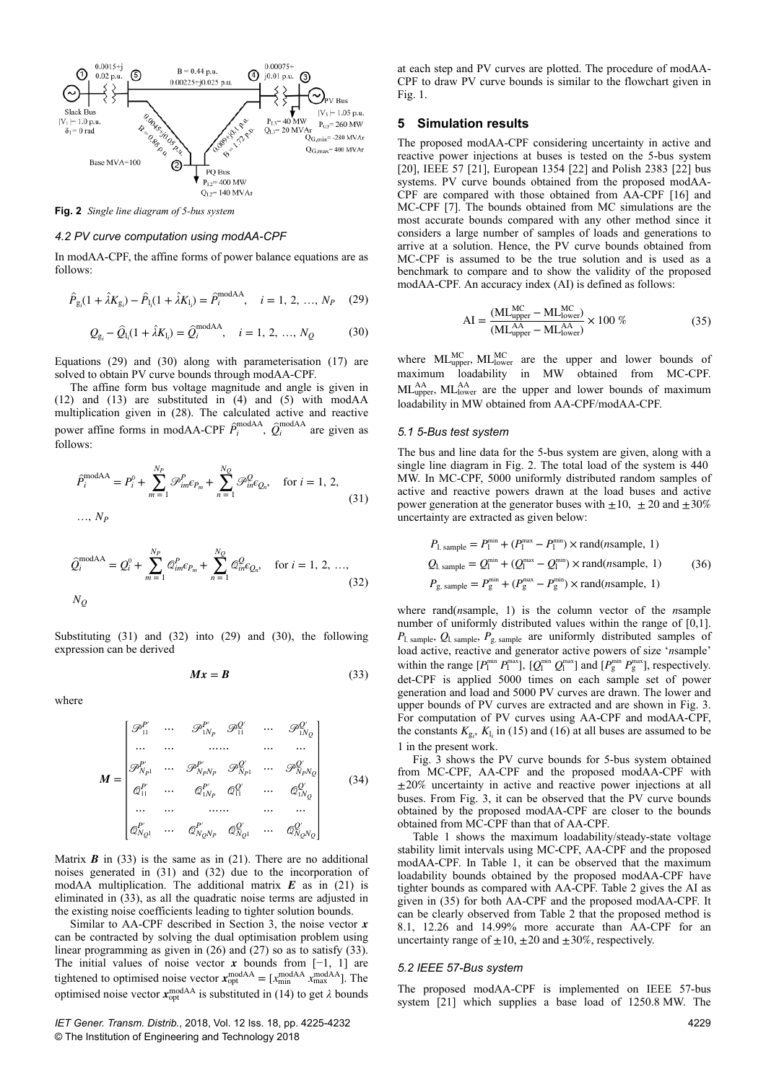

**Fig. 2** *Single line diagram of 5-bus system*

#### *4.2 PV curve computation using modAA-CPF*

In modAA-CPF, the affine forms of power balance equations are as follows:

$$
\hat{P}_{g_i}(1 + \hat{\lambda}K_{g_i}) - \hat{P}_{l_i}(1 + \hat{\lambda}K_{l_i}) = \hat{P}_i^{\text{modAA}}, \quad i = 1, 2, ..., N_P \quad (29)
$$

$$
Q_{g_i} - \hat{Q}_{l_i}(1 + \hat{\lambda}K_{l_i}) = \hat{Q}_i^{\text{modAA}}, \quad i = 1, 2, ..., N_Q
$$
 (30)

Equations (29) and (30) along with parameterisation (17) are solved to obtain PV curve bounds through modAA-CPF.

The affine form bus voltage magnitude and angle is given in (12) and (13) are substituted in (4) and (5) with modAA multiplication given in (28). The calculated active and reactive power affine forms in modAA-CPF  $\hat{P}_i^{\text{modAA}}$ ,  $\hat{Q}_i^{\text{modAA}}$  are given as follows:

$$
\hat{P}_{i}^{\text{modAA}} = P_{i}^{0} + \sum_{m=1}^{N_{P}} \mathcal{P}_{im}^{P} \epsilon_{P_{m}} + \sum_{n=1}^{N_{Q}} \mathcal{P}_{in}^{Q} \epsilon_{Q_{n}}, \text{ for } i = 1, 2,
$$
\n
$$
\dots, N_{P}
$$
\n(31)

$$
\hat{Q}_{i}^{\text{modAA}} = Q_{i}^{0} + \sum_{m=1}^{N_{P}} \mathcal{Q}_{im}^{P} c_{P_{m}} + \sum_{n=1}^{N_{Q}} \mathcal{Q}_{in}^{Q} c_{Q_{n}}, \quad \text{for } i = 1, 2, ...,
$$
\n(32)

Substituting (31) and (32) into (29) and (30), the following expression can be derived

$$
Mx = B \tag{33}
$$

where

$$
M = \begin{bmatrix} \mathcal{P}_{11}^{P'} & \cdots & \mathcal{P}_{1N_{P}}^{P'} & \mathcal{P}_{11}^{Q'} & \cdots & \mathcal{P}_{1N_{Q}}^{Q'} \\ \cdots & \cdots & \cdots & \cdots & \cdots & \cdots \\ \mathcal{P}_{N_{P1}}^{P'} & \cdots & \mathcal{P}_{N_{P}N_{P}}^{P'} & \mathcal{P}_{N_{P1}}^{Q'} & \cdots & \mathcal{P}_{N_{P}N_{Q}}^{Q'} \\ \phi_{11}^{P'} & \cdots & \phi_{1N_{P}}^{P'} & \phi_{11}^{Q'} & \cdots & \phi_{1N_{Q}}^{Q'} \\ \cdots & \cdots & \cdots & \cdots & \cdots & \cdots \\ \phi_{N_{Q1}}^{P'} & \cdots & \phi_{N_{Q}N_{P}}^{P'} & \phi_{N_{Q1}}^{Q'} & \cdots & \phi_{N_{Q}N_{Q}}^{Q'} \end{bmatrix}
$$
(34)

Matrix  $\bf{B}$  in (33) is the same as in (21). There are no additional noises generated in (31) and (32) due to the incorporation of modAA multiplication. The additional matrix *E* as in (21) is eliminated in (33), as all the quadratic noise terms are adjusted in the existing noise coefficients leading to tighter solution bounds.

Similar to AA-CPF described in Section 3, the noise vector *x* can be contracted by solving the dual optimisation problem using linear programming as given in (26) and (27) so as to satisfy (33). The initial values of noise vector *x* bounds from  $[-1, 1]$  are tightened to optimised noise vector  $\mathbf{x}_{opt}^{\text{modAA}} = [x_{min}^{\text{modAA}} \ x_{max}^{\text{modAA}}]$ . The optimised noise vector  $\mathbf{x}_{opt}^{\text{modAA}}$  is substituted in (14) to get  $\lambda$  bounds

*IET Gener. Transm. Distrib.*, 2018, Vol. 12 Iss. 18, pp. 4225-4232 © The Institution of Engineering and Technology 2018

at each step and PV curves are plotted. The procedure of modAA-CPF to draw PV curve bounds is similar to the flowchart given in Fig. 1.

### **5Simulation results**

The proposed modAA-CPF considering uncertainty in active and reactive power injections at buses is tested on the 5-bus system [20], IEEE 57 [21], European 1354 [22] and Polish 2383 [22] bus systems. PV curve bounds obtained from the proposed modAA-CPF are compared with those obtained from AA-CPF [16] and MC-CPF [7]. The bounds obtained from MC simulations are the most accurate bounds compared with any other method since it considers a large number of samples of loads and generations to arrive at a solution. Hence, the PV curve bounds obtained from MC-CPF is assumed to be the true solution and is used as a benchmark to compare and to show the validity of the proposed modAA-CPF. An accuracy index (AI) is defined as follows:

$$
AI = \frac{(ML_{\text{upper}}^{MC} - ML_{\text{lower}}^{MC})}{(ML_{\text{upper}}^{AA} - ML_{\text{lower}}^{AA})} \times 100\% \tag{35}
$$

where  $ML_{\text{upper}}^{\text{MC}}$ ,  $ML_{\text{lower}}^{\text{MC}}$  are the upper and lower bounds of maximum loadability in MW obtained from MC-CPF.  $ML_{upper}^{AA}$ ,  $ML_{lower}^{AA}$  are the upper and lower bounds of maximum loadability in MW obtained from AA-CPF/modAA-CPF.

#### *5.1 5-Bus test system*

The bus and line data for the 5-bus system are given, along with a single line diagram in Fig. 2. The total load of the system is 440  MW. In MC-CPF, 5000 uniformly distributed random samples of active and reactive powers drawn at the load buses and active power generation at the generator buses with  $\pm 10$ ,  $\pm 20$  and  $\pm 30\%$ uncertainty are extracted as given below:

$$
P_{1, sample} = P_1^{\min} + (P_1^{\max} - P_1^{\min}) \times \text{rand}(n \text{sample}, 1)
$$
  
\n
$$
Q_{1, sample} = Q_1^{\min} + (Q_1^{\max} - Q_1^{\min}) \times \text{rand}(n \text{sample}, 1)
$$
  
\n
$$
P_{g, sample} = P_g^{\min} + (P_g^{\max} - P_g^{\min}) \times \text{rand}(n \text{sample}, 1)
$$
 (36)

where rand(*n*sample, 1) is the column vector of the *n*sample number of uniformly distributed values within the range of  $[0,1]$ . *P*l, sample, *Q*l, sample, *P*g, sample are uniformly distributed samples of load active, reactive and generator active powers of size '*n*sample' within the range  $[P_1^{\min} P_1^{\max}]$ ,  $[Q_1^{\min} Q_1^{\max}]$  and  $[P_g^{\min} P_g^{\max}]$ , respectively. det-CPF is applied 5000 times on each sample set of power generation and load and 5000 PV curves are drawn. The lower and upper bounds of PV curves are extracted and are shown in Fig. 3. For computation of PV curves using AA-CPF and modAA-CPF, the constants  $K_{g_i}$ ,  $K_{l_i}$  in (15) and (16) at all buses are assumed to be 1 in the present work.

Fig. 3 shows the PV curve bounds for 5-bus system obtained from MC-CPF, AA-CPF and the proposed modAA-CPF with  $\pm 20\%$  uncertainty in active and reactive power injections at all buses. From Fig. 3, it can be observed that the PV curve bounds obtained by the proposed modAA-CPF are closer to the bounds obtained from MC-CPF than that of AA-CPF.

Table 1 shows the maximum loadability/steady-state voltage stability limit intervals using MC-CPF, AA-CPF and the proposed modAA-CPF. In Table 1, it can be observed that the maximum loadability bounds obtained by the proposed modAA-CPF have tighter bounds as compared with AA-CPF. Table 2 gives the AI as given in (35) for both AA-CPF and the proposed modAA-CPF. It can be clearly observed from Table 2 that the proposed method is 8.1, 12.26 and 14.99% more accurate than AA-CPF for an uncertainty range of  $\pm 10$ ,  $\pm 20$  and  $\pm 30\%$ , respectively.

#### *5.2 IEEE 57-Bus system*

The proposed modAA-CPF is implemented on IEEE 57-bus system [21] which supplies a base load of 1250.8 MW. The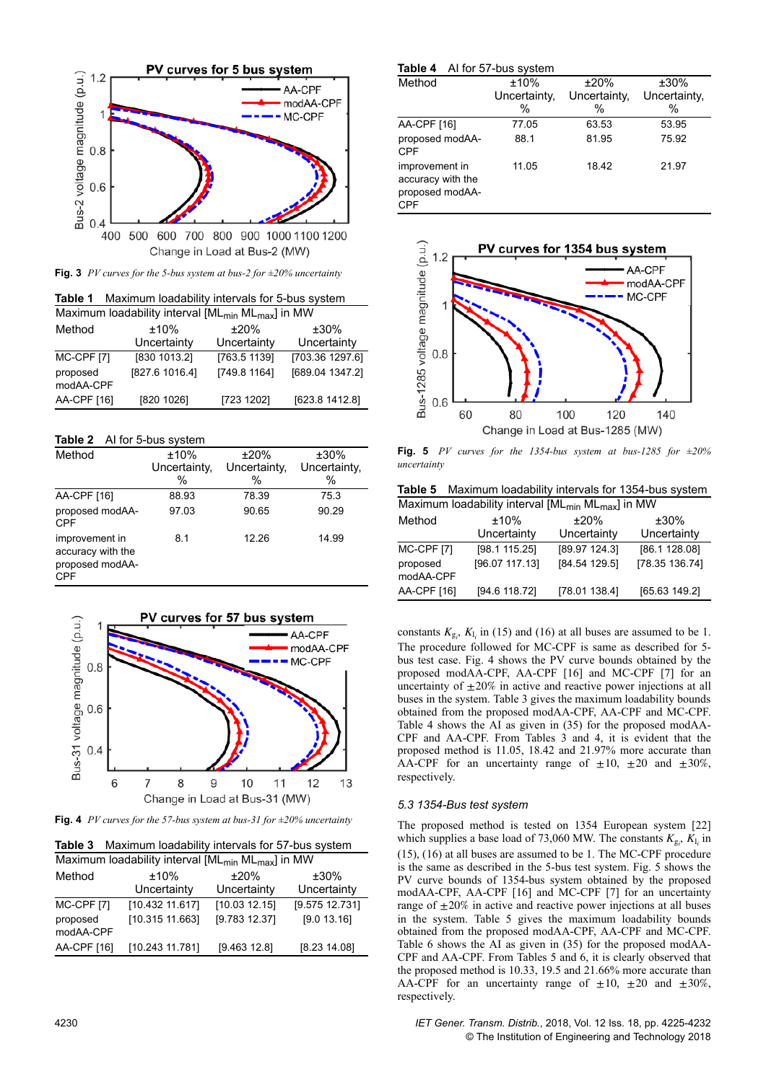

**Fig. 3** *PV curves for the 5-bus system at bus-2 for ±20% uncertainty*

| Maximum loadability intervals for 5-bus system<br>Table 1 |                                                                           |              |                 |  |
|-----------------------------------------------------------|---------------------------------------------------------------------------|--------------|-----------------|--|
|                                                           | Maximum loadability interval [ML <sub>min</sub> ML <sub>max</sub> ] in MW |              |                 |  |
| Method                                                    | ±10%                                                                      | ±20%         | $±30\%$         |  |
|                                                           | Uncertainty                                                               | Uncertainty  | Uncertainty     |  |
| MC-CPF [7]                                                | [830 1013.2]                                                              | [763.5 1139] | [703.36 1297.6] |  |
| proposed<br>modAA-CPF                                     | [827.6 1016.4]                                                            | [749.8 1164] | [689.04 1347.2] |  |
| AA-CPF [16]                                               | [820 1026]                                                                | [723 1202]   | [623.8 1412.8]  |  |

## **Table 2** AI for 5-bus system

| Method                                                        | ±10%          | ±20%         | ±30%         |
|---------------------------------------------------------------|---------------|--------------|--------------|
|                                                               | Uncertainty,  | Uncertainty, | Uncertainty, |
|                                                               | $\frac{0}{0}$ | %            | $\%$         |
| AA-CPF [16]                                                   | 88.93         | 78.39        | 75.3         |
| proposed modAA-<br><b>CPF</b>                                 | 97.03         | 90.65        | 90.29        |
| improvement in<br>accuracy with the<br>proposed modAA-<br>CPF | 8.1           | 12.26        | 14.99        |



**Fig. 4** *PV curves for the 57-bus system at bus-31 for ±20% uncertainty*

**Table 3** Maximum loadability intervals for 57-bus system

| Maximum loadability interval [ML <sub>min</sub> ML <sub>max</sub> ] in MW |                                    |                                |                               |  |  |
|---------------------------------------------------------------------------|------------------------------------|--------------------------------|-------------------------------|--|--|
| Method                                                                    | $±10\%$<br>Uncertainty             | ±20%<br>Uncertainty            | $±30\%$<br>Uncertainty        |  |  |
| MC-CPF [7]<br>proposed<br>modAA-CPF                                       | [10.432 11.617]<br>[10.315 11.663] | [10.03 12.15]<br>[9.783 12.37] | [9.575 12.731]<br>[9.0 13.16] |  |  |
| AA-CPF [16]                                                               | [10.243 11.781]                    | [9.463 12.8]                   | [8.23 14.08]                  |  |  |

| Table 4                                                       | AI for 57-bus system      |                           |                              |
|---------------------------------------------------------------|---------------------------|---------------------------|------------------------------|
| Method                                                        | ±10%<br>Uncertainty,<br>% | ±20%<br>Uncertainty,<br>% | $±30\%$<br>Uncertainty,<br>% |
| AA-CPF [16]                                                   | 77.05                     | 63.53                     | 53.95                        |
| proposed modAA-<br><b>CPF</b>                                 | 88.1                      | 81.95                     | 75.92                        |
| improvement in<br>accuracy with the<br>proposed modAA-<br>CPF | 11.05                     | 18.42                     | 21.97                        |



**Fig. 5** *PV curves for the 1354-bus system at bus-1285 for ±20% uncertainty*

**Table 5** Maximum loadability intervals for 1354-bus system

| Maximum loadability interval $[ML_{min} M L_{max}]$ in MW |                |               |                |  |
|-----------------------------------------------------------|----------------|---------------|----------------|--|
| Method                                                    | $±10\%$        | $±20\%$       | $±30\%$        |  |
|                                                           | Uncertainty    | Uncertainty   | Uncertainty    |  |
| <b>MC-CPF [7]</b>                                         | [98.1 115.25]  | [89.97 124.3] | [86.1 128.08]  |  |
| proposed<br>modAA-CPF                                     | [96.07 117.13] | [84.54 129.5] | [78.35 136.74] |  |
| AA-CPF [16]                                               | [94.6 118.72]  | [78.01 138.4] | [65.63 149.2]  |  |

constants  $K_{g_i}$ ,  $K_{l_i}$  in (15) and (16) at all buses are assumed to be 1. The procedure followed for MC-CPF is same as described for 5 bus test case. Fig. 4 shows the PV curve bounds obtained by the proposed modAA-CPF, AA-CPF [16] and MC-CPF [7] for an uncertainty of  $\pm 20\%$  in active and reactive power injections at all buses in the system. Table 3 gives the maximum loadability bounds obtained from the proposed modAA-CPF, AA-CPF and MC-CPF. Table 4 shows the AI as given in (35) for the proposed modAA-CPF and AA-CPF. From Tables 3 and 4, it is evident that the proposed method is 11.05, 18.42 and 21.97% more accurate than AA-CPF for an uncertainty range of  $\pm 10$ ,  $\pm 20$  and  $\pm 30\%$ , respectively.

# *5.3 1354-Bus test system*

The proposed method is tested on 1354 European system [22] which supplies a base load of 73,060 MW. The constants  $K_{\text{g}_i}$ ,  $K_{\text{l}_i}$  in (15), (16) at all buses are assumed to be 1. The MC-CPF procedure is the same as described in the 5-bus test system. Fig. 5 shows the PV curve bounds of 1354-bus system obtained by the proposed modAA-CPF, AA-CPF [16] and MC-CPF [7] for an uncertainty range of  $\pm 20\%$  in active and reactive power injections at all buses in the system. Table 5 gives the maximum loadability bounds obtained from the proposed modAA-CPF, AA-CPF and MC-CPF. Table 6 shows the AI as given in (35) for the proposed modAA-CPF and AA-CPF. From Tables 5 and 6, it is clearly observed that the proposed method is 10.33, 19.5 and 21.66% more accurate than AA-CPF for an uncertainty range of  $\pm 10$ ,  $\pm 20$  and  $\pm 30\%$ , respectively.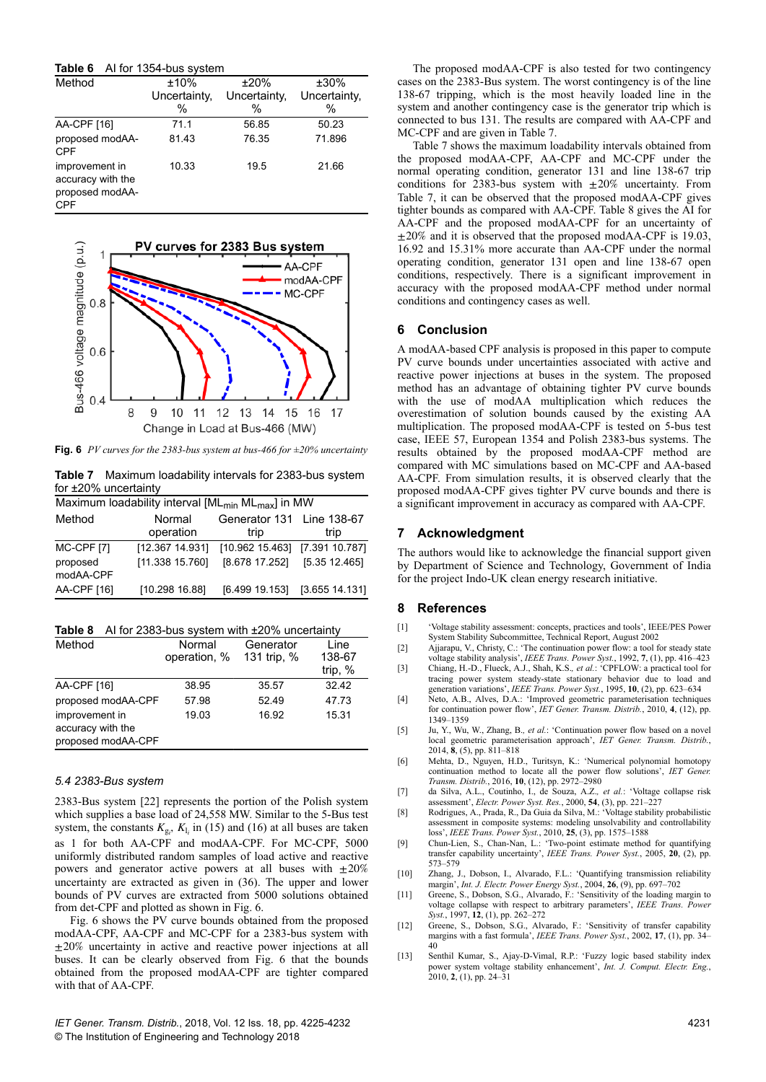| Table 6 |  | Al for 1354-bus system |  |
|---------|--|------------------------|--|
|---------|--|------------------------|--|

| Method                                                               | ±10%         | ±20%         | ±30%         |
|----------------------------------------------------------------------|--------------|--------------|--------------|
|                                                                      | Uncertainty, | Uncertainty, | Uncertainty, |
|                                                                      | %            | %            | %            |
| AA-CPF [16]                                                          | 71.1         | 56.85        | 50.23        |
| proposed modAA-<br><b>CPF</b>                                        | 81.43        | 76.35        | 71.896       |
| improvement in<br>accuracy with the<br>proposed modAA-<br><b>CPF</b> | 10.33        | 19.5         | 21.66        |



**Fig. 6** *PV curves for the 2383-bus system at bus-466 for ±20% uncertainty*

**Table 7** Maximum loadability intervals for 2383-bus system for ±20% uncertainty

| Maximum loadability interval $[ML_{min} ML_{max}]$ in MW |                 |                                |                |  |
|----------------------------------------------------------|-----------------|--------------------------------|----------------|--|
| Method                                                   | Normal          | Generator 131 Line 138-67      |                |  |
|                                                          | operation       | trip                           | trip           |  |
| MC-CPF [7]                                               | [12.367 14.931] | [10.962 15.463] [7.391 10.787] |                |  |
| proposed<br>modAA-CPF                                    | [11.338 15.760] | [8.678 17.252]                 | [5.35 12.465]  |  |
| AA-CPF [16]                                              | [10.298 16.88]  | [6.499 19.153]                 | [3.655 14.131] |  |

**Table 8** AI for 2383-bus system with ±20% uncertainty

| Method                                                    | Normal<br>operation, % | Generator<br>131 trip, % | Line<br>138-67<br>trip, % |
|-----------------------------------------------------------|------------------------|--------------------------|---------------------------|
| AA-CPF [16]                                               | 38.95                  | 35.57                    | 32.42                     |
| proposed modAA-CPF                                        | 57.98                  | 52.49                    | 47.73                     |
| improvement in<br>accuracy with the<br>proposed modAA-CPF | 19.03                  | 16.92                    | 15.31                     |

#### *5.4 2383-Bus system*

2383-Bus system [22] represents the portion of the Polish system which supplies a base load of 24,558 MW. Similar to the 5-Bus test system, the constants  $K_{g_i}$ ,  $K_{l_i}$  in (15) and (16) at all buses are taken as 1 for both AA-CPF and modAA-CPF. For MC-CPF, 5000 uniformly distributed random samples of load active and reactive powers and generator active powers at all buses with  $\pm 20\%$ uncertainty are extracted as given in (36). The upper and lower bounds of PV curves are extracted from 5000 solutions obtained from det-CPF and plotted as shown in Fig. 6.

Fig. 6 shows the PV curve bounds obtained from the proposed modAA-CPF, AA-CPF and MC-CPF for a 2383-bus system with  $±20\%$  uncertainty in active and reactive power injections at all buses. It can be clearly observed from Fig. 6 that the bounds obtained from the proposed modAA-CPF are tighter compared with that of AA-CPF.

*IET Gener. Transm. Distrib.*, 2018, Vol. 12 Iss. 18, pp. 4225-4232 © The Institution of Engineering and Technology 2018

The proposed modAA-CPF is also tested for two contingency cases on the 2383-Bus system. The worst contingency is of the line 138-67 tripping, which is the most heavily loaded line in the system and another contingency case is the generator trip which is connected to bus 131. The results are compared with AA-CPF and MC-CPF and are given in Table 7.

Table 7 shows the maximum loadability intervals obtained from the proposed modAA-CPF, AA-CPF and MC-CPF under the normal operating condition, generator 131 and line 138-67 trip conditions for 2383-bus system with  $\pm 20\%$  uncertainty. From Table 7, it can be observed that the proposed modAA-CPF gives tighter bounds as compared with AA-CPF. Table 8 gives the AI for AA-CPF and the proposed modAA-CPF for an uncertainty of  $\pm 20\%$  and it is observed that the proposed modAA-CPF is 19.03, 16.92 and 15.31% more accurate than AA-CPF under the normal operating condition, generator 131 open and line 138-67 open conditions, respectively. There is a significant improvement in accuracy with the proposed modAA-CPF method under normal conditions and contingency cases as well.

# **6** Conclusion

A modAA-based CPF analysis is proposed in this paper to compute PV curve bounds under uncertainties associated with active and reactive power injections at buses in the system. The proposed method has an advantage of obtaining tighter PV curve bounds with the use of modAA multiplication which reduces the overestimation of solution bounds caused by the existing AA multiplication. The proposed modAA-CPF is tested on 5-bus test case, IEEE 57, European 1354 and Polish 2383-bus systems. The results obtained by the proposed modAA-CPF method are compared with MC simulations based on MC-CPF and AA-based AA-CPF. From simulation results, it is observed clearly that the proposed modAA-CPF gives tighter PV curve bounds and there is a significant improvement in accuracy as compared with AA-CPF.

## **7Acknowledgment**

The authors would like to acknowledge the financial support given by Department of Science and Technology, Government of India for the project Indo-UK clean energy research initiative.

### **8References**

- [1] 'Voltage stability assessment: concepts, practices and tools', IEEE/PES Power System Stability Subcommittee, Technical Report, August 2002
- [2] Ajjarapu, V., Christy, C.: 'The continuation power flow: a tool for steady state voltage stability analysis', *IEEE Trans. Power Syst.*, 1992, **7**, (1), pp. 416–423 [3] Chiang, H.-D., Flueck, A.J., Shah, K.S.*, et al.*: 'CPFLOW: a practical tool for
- tracing power system steady-state stationary behavior due to load and generation variations', *IEEE Trans. Power Syst.*, 1995, **10**, (2), pp. 623–634
- [4] Neto, A.B., Alves, D.A.: 'Improved geometric parameterisation techniques for continuation power flow', *IET Gener. Transm. Distrib.*, 2010, **4**, (12), pp. 1349–1359
- [5] Ju, Y., Wu, W., Zhang, B.*, et al.*: 'Continuation power flow based on a novel local geometric parameterisation approach', *IET Gener. Transm. Distrib.*, 2014, **8**, (5), pp. 811–818
- [6] Mehta, D., Nguyen, H.D., Turitsyn, K.: 'Numerical polynomial homotopy continuation method to locate all the power flow solutions', *IET Gener. Transm. Distrib.*, 2016, **10**, (12), pp. 2972–2980
- [7] da Silva, A.L., Coutinho, I., de Souza, A.Z.*, et al.*: 'Voltage collapse risk assessment', *Electr. Power Syst. Res.*, 2000, **54**, (3), pp. 221–227
- [8] Rodrigues, A., Prada, R., Da Guia da Silva, M.: 'Voltage stability probabilistic assessment in composite systems: modeling unsolvability and controllability loss', *IEEE Trans. Power Syst.*, 2010, **25**, (3), pp. 1575–1588
- [9] Chun-Lien, S., Chan-Nan, L.: 'Two-point estimate method for quantifying transfer capability uncertainty', *IEEE Trans. Power Syst.*, 2005, **20**, (2), pp. 573–579
- [10] Zhang, J., Dobson, I., Alvarado, F.L.: 'Quantifying transmission reliability margin', *Int. J. Electr. Power Energy Syst.*, 2004, **26**, (9), pp. 697–702
- [11] Greene, S., Dobson, S.G., Alvarado, F.: 'Sensitivity of the loading margin to voltage collapse with respect to arbitrary parameters', *IEEE Trans. Power Syst.*, 1997, **12**, (1), pp. 262–272
- [12] Greene, S., Dobson, S.G., Alvarado, F.: 'Sensitivity of transfer capability margins with a fast formula', *IEEE Trans. Power Syst.*, 2002, **17**, (1), pp. 34– 40
- [13] Senthil Kumar, S., Ajay-D-Vimal, R.P.: 'Fuzzy logic based stability index power system voltage stability enhancement', *Int. J. Comput. Electr. Eng.*, 2010, **2**, (1), pp. 24–31